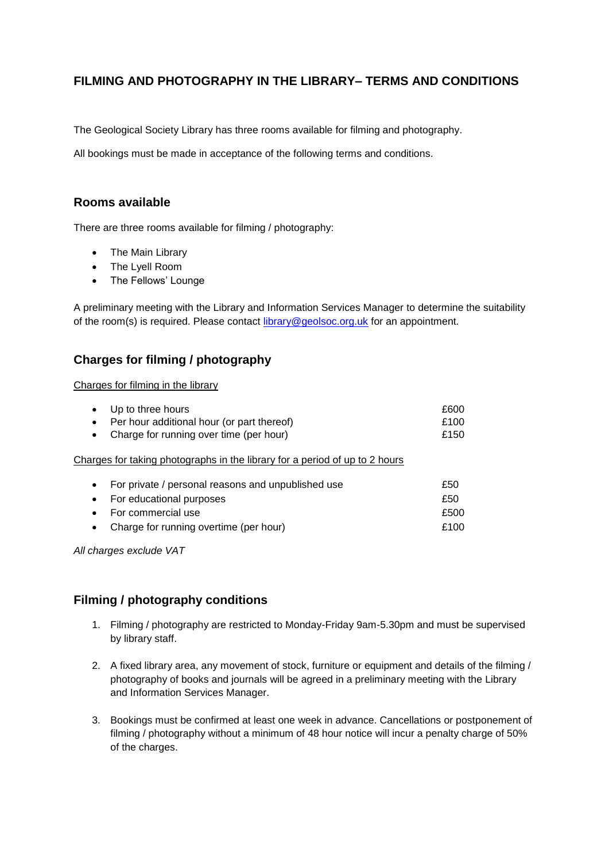## **FILMING AND PHOTOGRAPHY IN THE LIBRARY– TERMS AND CONDITIONS**

The Geological Society Library has three rooms available for filming and photography.

All bookings must be made in acceptance of the following terms and conditions.

## **Rooms available**

There are three rooms available for filming / photography:

- The Main Library
- The Lyell Room
- The Fellows' Lounge

A preliminary meeting with the Library and Information Services Manager to determine the suitability of the room(s) is required. Please contact [library@geolsoc.org.uk](mailto:library@geolsoc.org.uk) for an appointment.

## **Charges for filming / photography**

Charges for filming in the library

| Up to three hours<br>$\bullet$                                              | £600 |
|-----------------------------------------------------------------------------|------|
| Per hour additional hour (or part thereof)<br>$\bullet$                     | £100 |
| Charge for running over time (per hour)<br>$\bullet$                        | £150 |
| Charges for taking photographs in the library for a period of up to 2 hours |      |
| For private / personal reasons and unpublished use<br>$\bullet$             | £50  |
| For educational purposes<br>$\bullet$                                       | £50  |
| For commercial use                                                          | £500 |

• Charge for running overtime (per hour) 6. E100

*All charges exclude VAT*

## **Filming / photography conditions**

- 1. Filming / photography are restricted to Monday-Friday 9am-5.30pm and must be supervised by library staff.
- 2. A fixed library area, any movement of stock, furniture or equipment and details of the filming / photography of books and journals will be agreed in a preliminary meeting with the Library and Information Services Manager.
- 3. Bookings must be confirmed at least one week in advance. Cancellations or postponement of filming / photography without a minimum of 48 hour notice will incur a penalty charge of 50% of the charges.